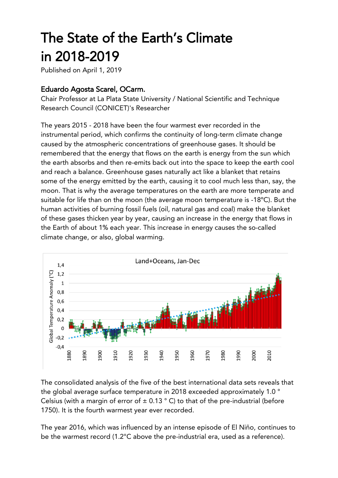# The State of the Earth's Climate **in 2018-2019**<br>Published on April 1, 2019

### [Eduardo Agosta Scarel,](https://ar.linkedin.com/in/eduardo-agosta-scarel?trk=author_mini-profile_title) OCarm.

Chair Professor at La Plata State University / National Scientific and Technique Research Council (CONICET)'s Researcher

The years 2015 - 2018 have been the four warmest ever recorded in the instrumental period, which confirms the continuity of long-term climate change caused by the atmospheric concentrations of greenhouse gases. It should be remembered that the energy that flows on the earth is energy from the sun which the earth absorbs and then re-emits back out into the space to keep the earth cool and reach a balance. Greenhouse gases naturally act like a blanket that retains some of the energy emitted by the earth, causing it to cool much less than, say, the moon. That is why the average temperatures on the earth are more temperate and suitable for life than on the moon (the average moon temperature is -18ºC). But the human activities of burning fossil fuels (oil, natural gas and coal) make the blanket of these gases thicken year by year, causing an increase in the energy that flows in the Earth of about 1% each year. This increase in energy causes the so-called climate change, or also, global warming.



The consolidated analysis of the five of the best international data sets reveals that the global average surface temperature in 2018 exceeded approximately 1.0 ° Celsius (with a margin of error of  $\pm$  0.13  $^{\circ}$  C) to that of the pre-industrial (before 1750). It is the fourth warmest year ever recorded.

The year 2016, which was influenced by an intense episode of El Niño, continues to be the warmest record (1.2°C above the pre-industrial era, used as a reference).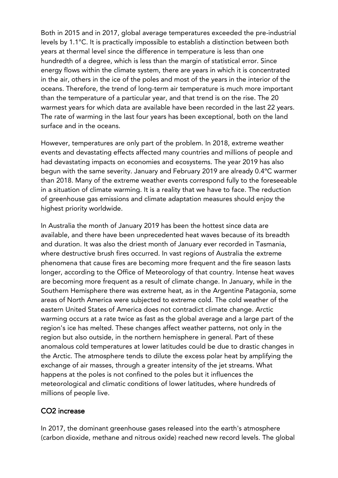Both in 2015 and in 2017, global average temperatures exceeded the pre-industrial levels by 1.1°C. It is practically impossible to establish a distinction between both years at thermal level since the difference in temperature is less than one hundredth of a degree, which is less than the margin of statistical error. Since energy flows within the climate system, there are years in which it is concentrated in the air, others in the ice of the poles and most of the years in the interior of the oceans. Therefore, the trend of long-term air temperature is much more important than the temperature of a particular year, and that trend is on the rise. The 20 warmest years for which data are available have been recorded in the last 22 years. The rate of warming in the last four years has been exceptional, both on the land surface and in the oceans.

However, temperatures are only part of the problem. In 2018, extreme weather events and devastating effects affected many countries and millions of people and had devastating impacts on economies and ecosystems. The year 2019 has also begun with the same severity. January and February 2019 are already 0.4ºC warmer than 2018. Many of the extreme weather events correspond fully to the foreseeable in a situation of climate warming. It is a reality that we have to face. The reduction of greenhouse gas emissions and climate adaptation measures should enjoy the highest priority worldwide.

In Australia the month of January 2019 has been the hottest since data are available, and there have been unprecedented heat waves because of its breadth and duration. It was also the driest month of January ever recorded in Tasmania, where destructive brush fires occurred. In vast regions of Australia the extreme phenomena that cause fires are becoming more frequent and the fire season lasts longer, according to the Office of Meteorology of that country. Intense heat waves are becoming more frequent as a result of climate change. In January, while in the Southern Hemisphere there was extreme heat, as in the Argentine Patagonia, some areas of North America were subjected to extreme cold. The cold weather of the eastern United States of America does not contradict climate change. Arctic warming occurs at a rate twice as fast as the global average and a large part of the region's ice has melted. These changes affect weather patterns, not only in the region but also outside, in the northern hemisphere in general. Part of these anomalous cold temperatures at lower latitudes could be due to drastic changes in the Arctic. The atmosphere tends to dilute the excess polar heat by amplifying the exchange of air masses, through a greater intensity of the jet streams. What happens at the poles is not confined to the poles but it influences the meteorological and climatic conditions of lower latitudes, where hundreds of millions of people live.

#### CO2 increase

In 2017, the dominant greenhouse gases released into the earth's atmosphere (carbon dioxide, methane and nitrous oxide) reached new record levels. The global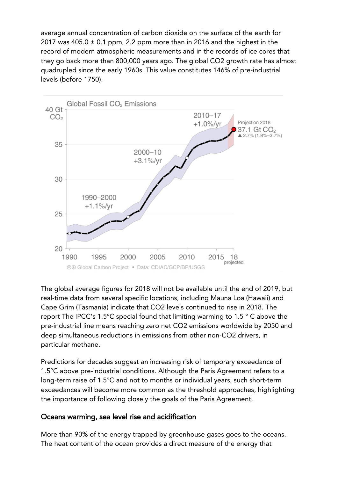average annual concentration of carbon dioxide on the surface of the earth for 2017 was  $405.0 \pm 0.1$  ppm, 2.2 ppm more than in 2016 and the highest in the record of modern atmospheric measurements and in the records of ice cores that they go back more than 800,000 years ago. The global CO2 growth rate has almost quadrupled since the early 1960s. This value constitutes 146% of pre-industrial levels (before 1750).



The global average figures for 2018 will not be available until the end of 2019, but real-time data from several specific locations, including Mauna Loa (Hawaii) and Cape Grim (Tasmania) indicate that CO2 levels continued to rise in 2018. The report The IPCC's 1.5ºC special found that limiting warming to 1.5 ° C above the pre-industrial line means reaching zero net CO2 emissions worldwide by 2050 and deep simultaneous reductions in emissions from other non-CO2 drivers, in particular methane.

Predictions for decades suggest an increasing risk of temporary exceedance of 1.5°C above pre-industrial conditions. Although the Paris Agreement refers to a long-term raise of 1.5°C and not to months or individual years, such short-term exceedances will become more common as the threshold approaches, highlighting the importance of following closely the goals of the Paris Agreement.

#### Oceans warming, sea level rise and acidification

More than 90% of the energy trapped by greenhouse gases goes to the oceans. The heat content of the ocean provides a direct measure of the energy that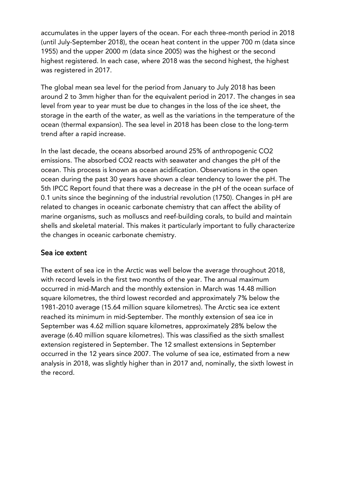accumulates in the upper layers of the ocean. For each three-month period in 2018 (until July-September 2018), the ocean heat content in the upper 700 m (data since 1955) and the upper 2000 m (data since 2005) was the highest or the second highest registered. In each case, where 2018 was the second highest, the highest was registered in 2017.

The global mean sea level for the period from January to July 2018 has been around 2 to 3mm higher than for the equivalent period in 2017. The changes in sea level from year to year must be due to changes in the loss of the ice sheet, the storage in the earth of the water, as well as the variations in the temperature of the ocean (thermal expansion). The sea level in 2018 has been close to the long-term trend after a rapid increase.

In the last decade, the oceans absorbed around 25% of anthropogenic CO2 emissions. The absorbed CO2 reacts with seawater and changes the pH of the ocean. This process is known as ocean acidification. Observations in the open ocean during the past 30 years have shown a clear tendency to lower the pH. The 5th IPCC Report found that there was a decrease in the pH of the ocean surface of 0.1 units since the beginning of the industrial revolution (1750). Changes in pH are related to changes in oceanic carbonate chemistry that can affect the ability of marine organisms, such as molluscs and reef-building corals, to build and maintain shells and skeletal material. This makes it particularly important to fully characterize the changes in oceanic carbonate chemistry.

#### Sea ice extent

The extent of sea ice in the Arctic was well below the average throughout 2018, with record levels in the first two months of the year. The annual maximum occurred in mid-March and the monthly extension in March was 14.48 million square kilometres, the third lowest recorded and approximately 7% below the 1981-2010 average (15.64 million square kilometres). The Arctic sea ice extent reached its minimum in mid-September. The monthly extension of sea ice in September was 4.62 million square kilometres, approximately 28% below the average (6.40 million square kilometres). This was classified as the sixth smallest extension registered in September. The 12 smallest extensions in September occurred in the 12 years since 2007. The volume of sea ice, estimated from a new analysis in 2018, was slightly higher than in 2017 and, nominally, the sixth lowest in the record.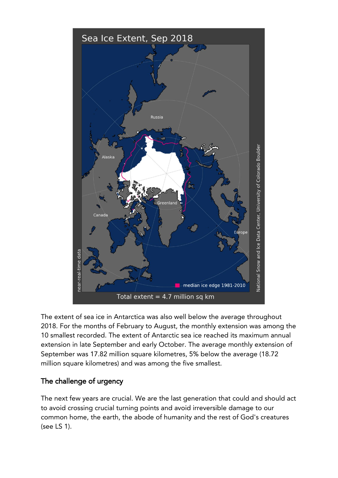

The extent of sea ice in Antarctica was also well below the average throughout 2018. For the months of February to August, the monthly extension was among the 10 smallest recorded. The extent of Antarctic sea ice reached its maximum annual extension in late September and early October. The average monthly extension of September was 17.82 million square kilometres, 5% below the average (18.72 million square kilometres) and was among the five smallest.

## The challenge of urgency

The next few years are crucial. We are the last generation that could and should act to avoid crossing crucial turning points and avoid irreversible damage to our common home, the earth, the abode of humanity and the rest of God's creatures (see LS 1).